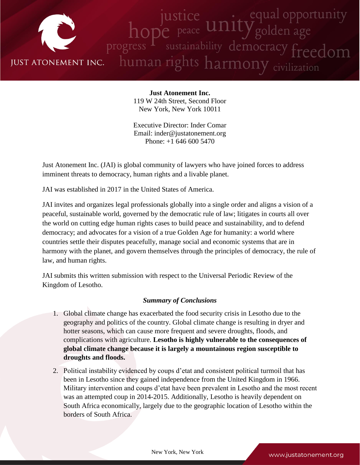

**Just Atonement Inc.** 119 W 24th Street, Second Floor New York, New York 10011

Executive Director: Inder Comar Email: inder@justatonement.org Phone: +1 646 600 5470

Just Atonement Inc. (JAI) is global community of lawyers who have joined forces to address imminent threats to democracy, human rights and a livable planet.

JAI was established in 2017 in the United States of America.

JAI invites and organizes legal professionals globally into a single order and aligns a vision of a peaceful, sustainable world, governed by the democratic rule of law; litigates in courts all over the world on cutting edge human rights cases to build peace and sustainability, and to defend democracy; and advocates for a vision of a true Golden Age for humanity: a world where countries settle their disputes peacefully, manage social and economic systems that are in harmony with the planet, and govern themselves through the principles of democracy, the rule of law, and human rights.

JAI submits this written submission with respect to the Universal Periodic Review of the Kingdom of Lesotho.

# *Summary of Conclusions*

- 1. Global climate change has exacerbated the food security crisis in Lesotho due to the geography and politics of the country. Global climate change is resulting in dryer and hotter seasons, which can cause more frequent and severe droughts, floods, and complications with agriculture. **Lesotho is highly vulnerable to the consequences of global climate change because it is largely a mountainous region susceptible to droughts and floods.**
- 2. Political instability evidenced by coups d'etat and consistent political turmoil that has been in Lesotho since they gained independence from the United Kingdom in 1966. Military intervention and coups d'etat have been prevalent in Lesotho and the most recent was an attempted coup in 2014-2015. Additionally, Lesotho is heavily dependent on South Africa economically, largely due to the geographic location of Lesotho within the borders of South Africa.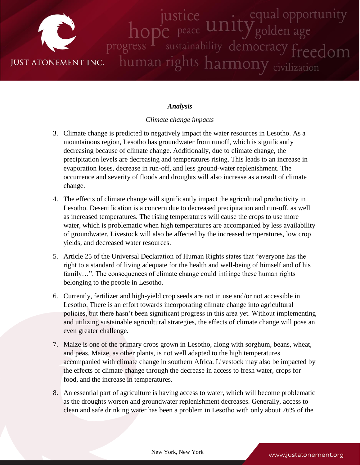

## *Analysis*

### *Climate change impacts*

- 3. Climate change is predicted to negatively impact the water resources in Lesotho. As a mountainous region, Lesotho has groundwater from runoff, which is significantly decreasing because of climate change. Additionally, due to climate change, the precipitation levels are decreasing and temperatures rising. This leads to an increase in evaporation loses, decrease in run-off, and less ground-water replenishment. The occurrence and severity of floods and droughts will also increase as a result of climate change.
- 4. The effects of climate change will significantly impact the agricultural productivity in Lesotho. Desertification is a concern due to decreased precipitation and run-off, as well as increased temperatures. The rising temperatures will cause the crops to use more water, which is problematic when high temperatures are accompanied by less availability of groundwater. Livestock will also be affected by the increased temperatures, low crop yields, and decreased water resources.
- 5. Article 25 of the Universal Declaration of Human Rights states that "everyone has the right to a standard of living adequate for the health and well-being of himself and of his family...". The consequences of climate change could infringe these human rights belonging to the people in Lesotho.
- 6. Currently, fertilizer and high-yield crop seeds are not in use and/or not accessible in Lesotho. There is an effort towards incorporating climate change into agricultural policies, but there hasn't been significant progress in this area yet. Without implementing and utilizing sustainable agricultural strategies, the effects of climate change will pose an even greater challenge.
- 7. Maize is one of the primary crops grown in Lesotho, along with sorghum, beans, wheat, and peas. Maize, as other plants, is not well adapted to the high temperatures accompanied with climate change in southern Africa. Livestock may also be impacted by the effects of climate change through the decrease in access to fresh water, crops for food, and the increase in temperatures.
- 8. An essential part of agriculture is having access to water, which will become problematic as the droughts worsen and groundwater replenishment decreases. Generally, access to clean and safe drinking water has been a problem in Lesotho with only about 76% of the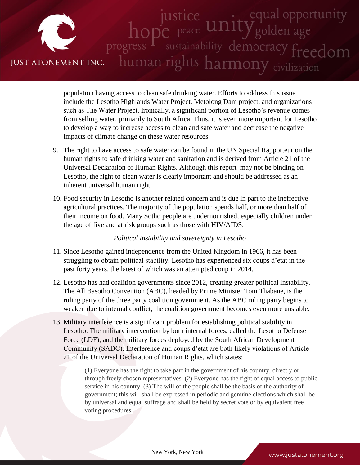

population having access to clean safe drinking water. Efforts to address this issue include the Lesotho Highlands Water Project, Metolong Dam project, and organizations such as The Water Project. Ironically, a significant portion of Lesotho's revenue comes from selling water, primarily to South Africa. Thus, it is even more important for Lesotho to develop a way to increase access to clean and safe water and decrease the negative impacts of climate change on these water resources.

- 9. The right to have access to safe water can be found in the UN Special Rapporteur on the human rights to safe drinking water and sanitation and is derived from Article 21 of the Universal Declaration of Human Rights. Although this report may not be binding on Lesotho, the right to clean water is clearly important and should be addressed as an inherent universal human right.
- 10. Food security in Lesotho is another related concern and is due in part to the ineffective agricultural practices. The majority of the population spends half, or more than half of their income on food. Many Sotho people are undernourished, especially children under the age of five and at risk groups such as those with HIV/AIDS.

### *Political instability and sovereignty in Lesotho*

- 11. Since Lesotho gained independence from the United Kingdom in 1966, it has been struggling to obtain political stability. Lesotho has experienced six coups d'etat in the past forty years, the latest of which was an attempted coup in 2014.
- 12. Lesotho has had coalition governments since 2012, creating greater political instability. The All Basotho Convention (ABC), headed by Prime Minister Tom Thabane, is the ruling party of the three party coalition government. As the ABC ruling party begins to weaken due to internal conflict, the coalition government becomes even more unstable.
- 13. Military interference is a significant problem for establishing political stability in Lesotho. The military intervention by both internal forces, called the Lesotho Defense Force (LDF), and the military forces deployed by the South African Development Community (SADC). Interference and coups d'etat are both likely violations of Article 21 of the Universal Declaration of Human Rights, which states:

(1) Everyone has the right to take part in the government of his country, directly or through freely chosen representatives. (2) Everyone has the right of equal access to public service in his country. (3) The will of the people shall be the basis of the authority of government; this will shall be expressed in periodic and genuine elections which shall be by universal and equal suffrage and shall be held by secret vote or by equivalent free voting procedures.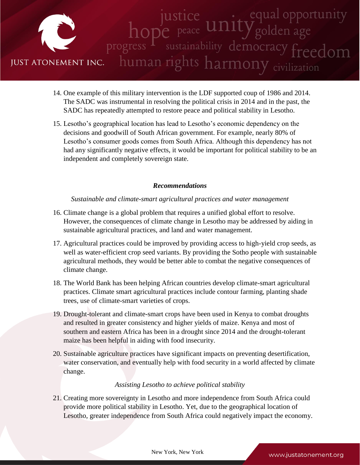

- 14. One example of this military intervention is the LDF supported coup of 1986 and 2014. The SADC was instrumental in resolving the political crisis in 2014 and in the past, the SADC has repeatedly attempted to restore peace and political stability in Lesotho.
- 15. Lesotho's geographical location has lead to Lesotho's economic dependency on the decisions and goodwill of South African government. For example, nearly 80% of Lesotho's consumer goods comes from South Africa. Although this dependency has not had any significantly negative effects, it would be important for political stability to be an independent and completely sovereign state.

## *Recommendations*

### *Sustainable and climate-smart agricultural practices and water management*

- 16. Climate change is a global problem that requires a unified global effort to resolve. However, the consequences of climate change in Lesotho may be addressed by aiding in sustainable agricultural practices, and land and water management.
- 17. Agricultural practices could be improved by providing access to high-yield crop seeds, as well as water-efficient crop seed variants. By providing the Sotho people with sustainable agricultural methods, they would be better able to combat the negative consequences of climate change.
- 18. The World Bank has been helping African countries develop climate-smart agricultural practices. Climate smart agricultural practices include contour farming, planting shade trees, use of climate-smart varieties of crops.
- 19. Drought-tolerant and climate-smart crops have been used in Kenya to combat droughts and resulted in greater consistency and higher yields of maize. Kenya and most of southern and eastern Africa has been in a drought since 2014 and the drought-tolerant maize has been helpful in aiding with food insecurity.
- 20. Sustainable agriculture practices have significant impacts on preventing desertification, water conservation, and eventually help with food security in a world affected by climate change.

### *Assisting Lesotho to achieve political stability*

21. Creating more sovereignty in Lesotho and more independence from South Africa could provide more political stability in Lesotho. Yet, due to the geographical location of Lesotho, greater independence from South Africa could negatively impact the economy.